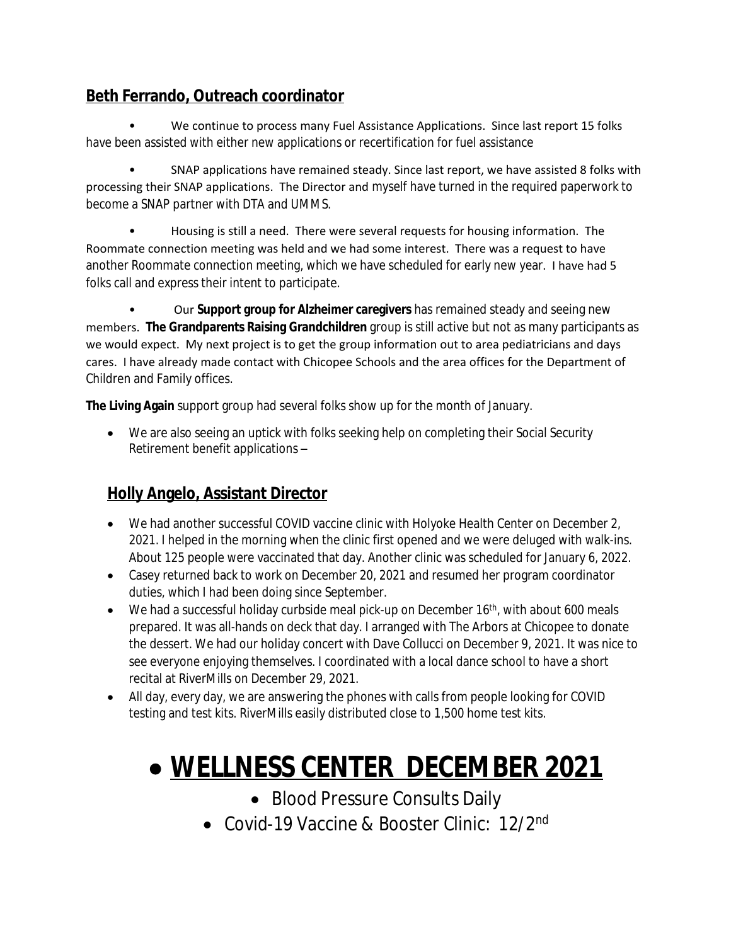#### **Beth Ferrando, Outreach coordinator**

We continue to process many Fuel Assistance Applications. Since last report 15 folks have been assisted with either new applications or recertification for fuel assistance

• SNAP applications have remained steady. Since last report, we have assisted 8 folks with processing their SNAP applications. The Director and myself have turned in the required paperwork to become a SNAP partner with DTA and UMMS.

• Housing is still a need. There were several requests for housing information. The Roommate connection meeting was held and we had some interest. There was a request to have another Roommate connection meeting, which we have scheduled for early new year. I have had 5 folks call and express their intent to participate.

• Our **Support group for Alzheimer caregivers** has remained steady and seeing new members. **The Grandparents Raising Grandchildren** group is still active but not as many participants as we would expect. My next project is to get the group information out to area pediatricians and days cares. I have already made contact with Chicopee Schools and the area offices for the Department of Children and Family offices.

**The Living Again** support group had several folks show up for the month of January.

 We are also seeing an uptick with folks seeking help on completing their Social Security Retirement benefit applications –

#### **Holly Angelo, Assistant Director**

- We had another successful COVID vaccine clinic with Holyoke Health Center on December 2, 2021. I helped in the morning when the clinic first opened and we were deluged with walk-ins. About 125 people were vaccinated that day. Another clinic was scheduled for January 6, 2022.
- Casey returned back to work on December 20, 2021 and resumed her program coordinator duties, which I had been doing since September.
- $\bullet$  We had a successful holiday curbside meal pick-up on December 16<sup>th</sup>, with about 600 meals prepared. It was all-hands on deck that day. I arranged with The Arbors at Chicopee to donate the dessert. We had our holiday concert with Dave Collucci on December 9, 2021. It was nice to see everyone enjoying themselves. I coordinated with a local dance school to have a short recital at RiverMills on December 29, 2021.
- All day, every day, we are answering the phones with calls from people looking for COVID testing and test kits. RiverMills easily distributed close to 1,500 home test kits.

# **WELLNESS CENTER DECEMBER 2021**

- Blood Pressure Consults Daily
- Covid-19 Vaccine & Booster Clinic: 12/2<sup>nd</sup>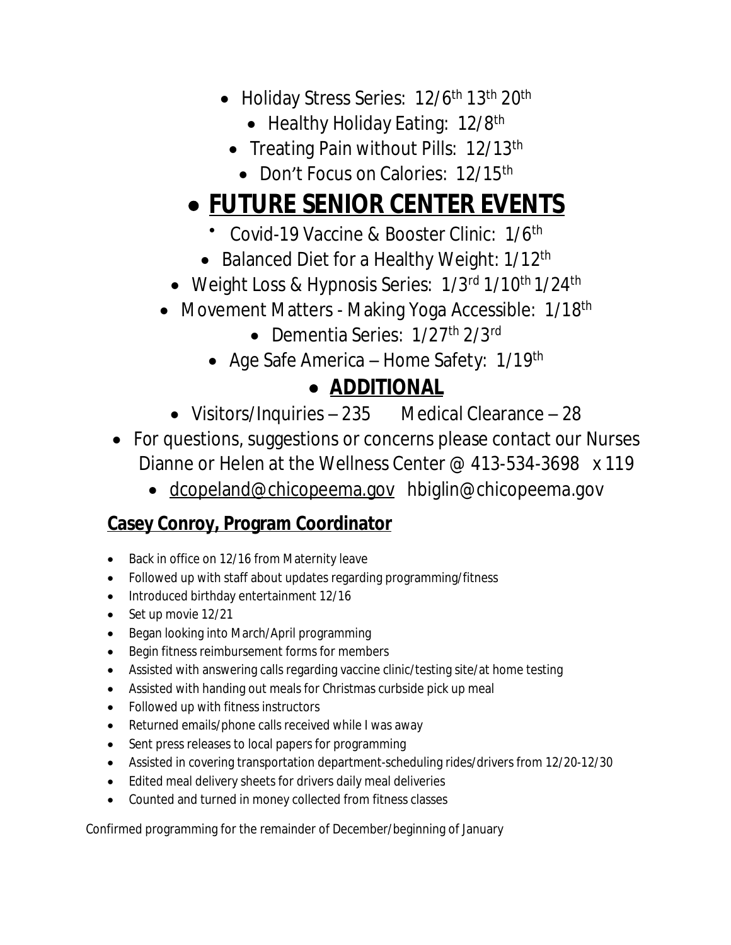- Holiday Stress Series: 12/6<sup>th</sup> 13<sup>th</sup> 20<sup>th</sup>
	- Healthy Holiday Eating: 12/8<sup>th</sup>
	- Treating Pain without Pills: 12/13<sup>th</sup>
		- Don't Focus on Calories: 12/15<sup>th</sup>

## **FUTURE SENIOR CENTER EVENTS**

- Covid-19 Vaccine & Booster Clinic: 1/6<sup>th</sup>
- Balanced Diet for a Healthy Weight: 1/12<sup>th</sup>
- Weight Loss & Hypnosis Series: 1/3rd 1/10th 1/24th
- Movement Matters Making Yoga Accessible: 1/18<sup>th</sup>
	- Dementia Series: 1/27<sup>th</sup> 2/3<sup>rd</sup>
	- Age Safe America Home Safety: 1/19th

## **ADDITIONAL**

- Visitors/Inquiries 235 Medical Clearance 28
- For questions, suggestions or concerns please contact our Nurses Dianne or Helen at the Wellness Center @ 413-534-3698 x 119
	- [dcopeland@chicopeema.gov](mailto:dcopeland@chicopeema.gov) hbiglin@chicopeema.gov

### **Casey Conroy, Program Coordinator**

- Back in office on 12/16 from Maternity leave
- Followed up with staff about updates regarding programming/fitness
- Introduced birthday entertainment 12/16
- Set up movie 12/21
- Began looking into March/April programming
- Begin fitness reimbursement forms for members
- Assisted with answering calls regarding vaccine clinic/testing site/at home testing
- Assisted with handing out meals for Christmas curbside pick up meal
- Followed up with fitness instructors
- Returned emails/phone calls received while I was away
- Sent press releases to local papers for programming
- Assisted in covering transportation department-scheduling rides/drivers from 12/20-12/30
- Edited meal delivery sheets for drivers daily meal deliveries
- Counted and turned in money collected from fitness classes

Confirmed programming for the remainder of December/beginning of January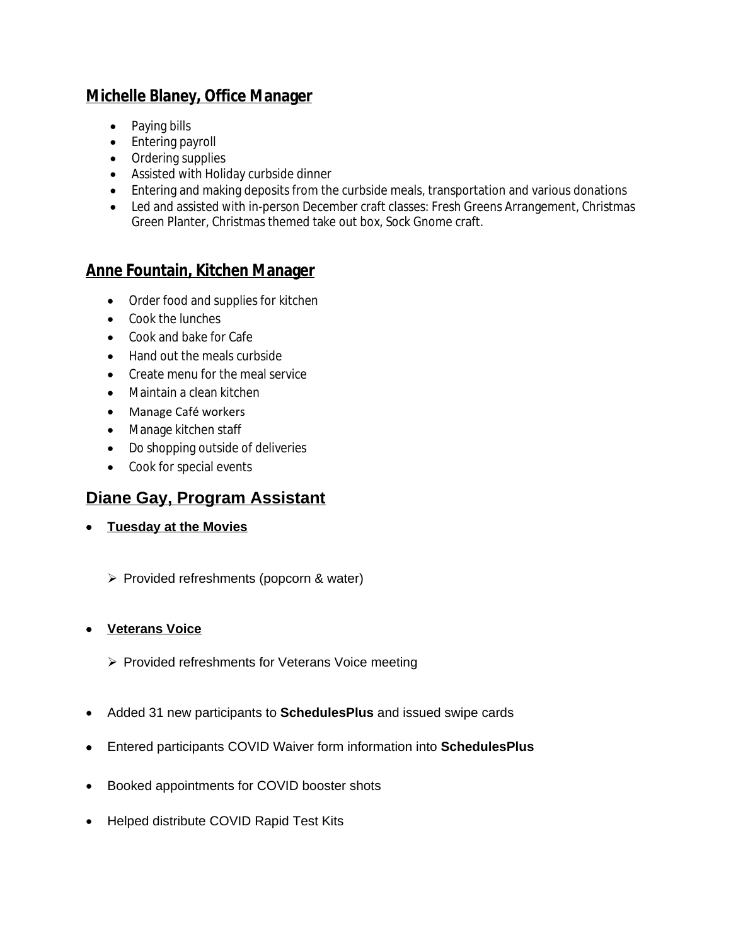#### **Michelle Blaney, Office Manager**

- Paying bills
- Entering payroll
- Ordering supplies
- Assisted with Holiday curbside dinner
- Entering and making deposits from the curbside meals, transportation and various donations
- Led and assisted with in-person December craft classes: Fresh Greens Arrangement, Christmas Green Planter, Christmas themed take out box, Sock Gnome craft.

#### **Anne Fountain, Kitchen Manager**

- Order food and supplies for kitchen
- Cook the lunches
- Cook and bake for Cafe
- Hand out the meals curbside
- Create menu for the meal service
- Maintain a clean kitchen
- Manage Café workers
- Manage kitchen staff
- Do shopping outside of deliveries
- Cook for special events

#### **Diane Gay, Program Assistant**

- **Tuesday at the Movies**
	- Provided refreshments (popcorn & water)

#### **Veterans Voice**

- $\triangleright$  Provided refreshments for Veterans Voice meeting
- Added 31 new participants to **SchedulesPlus** and issued swipe cards
- Entered participants COVID Waiver form information into **SchedulesPlus**
- Booked appointments for COVID booster shots
- Helped distribute COVID Rapid Test Kits